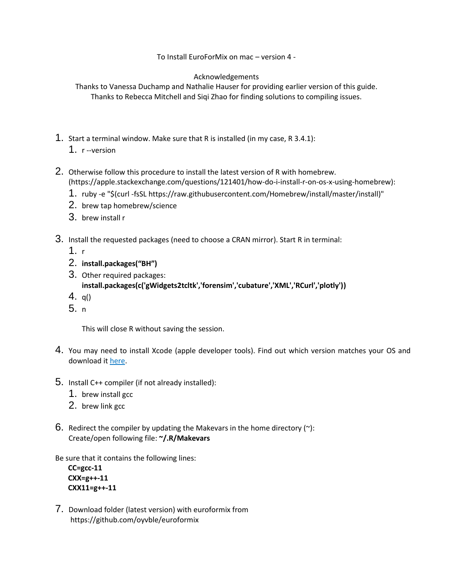To Install EuroForMix on mac – version 4 -

## Acknowledgements

Thanks to Vanessa Duchamp and Nathalie Hauser for providing earlier version of this guide. Thanks to Rebecca Mitchell and Siqi Zhao for finding solutions to compiling issues.

- 1. Start a terminal window. Make sure that R is installed (in my case, R 3.4.1):
	- 1. r --version
- 2. Otherwise follow this procedure to install the latest version of R with homebrew. [\(https://apple.stackexchange.com/questions/121401/how-do-i-install-r-on-os-x-using-homebrew\)](https://apple.stackexchange.com/questions/121401/how-do-i-install-r-on-os-x-using-homebrew):
	- 1. ruby -e "\$(curl -fsSL https://raw.githubusercontent.com/Homebrew/install/master/install)"
	- 2. brew tap homebrew/science
	- 3. brew install r
- 3. Install the requested packages (need to choose a CRAN mirror). Start R in terminal:
	- 1. r
	- 2. **install.packages("BH")**
	- 3. Other required packages: **install.packages(c('gWidgets2tcltk','forensim','cubature','XML','RCurl','plotly'))**
	- 4. q()
	- 5. n

This will close R without saving the session.

- 4. You may need to install Xcode (apple developer tools). Find out which version matches your OS and download it [here.](https://developer.apple.com/download/more/)
- 5. Install C++ compiler (if not already installed):
	- 1. brew install gcc
	- 2. brew link gcc
- 6. Redirect the compiler by updating the Makevars in the home directory  $(\gamma)$ : Create/open following file: **~/.R/Makevars**

Be sure that it contains the following lines:

```
CC=gcc-11
CXX=g++-11
CXX11=g++-11
```
7. Download folder (latest version) with euroformix from <https://github.com/oyvble/euroformix>